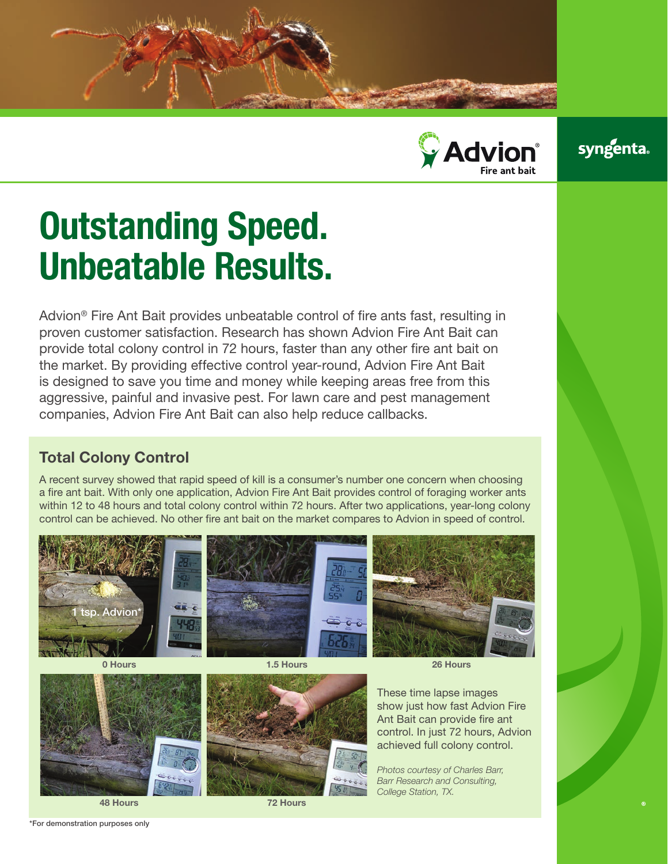



## **syngenta**

# Outstanding Speed. Unbeatable Results.

Advion® Fire Ant Bait provides unbeatable control of fire ants fast, resulting in proven customer satisfaction. Research has shown Advion Fire Ant Bait can provide total colony control in 72 hours, faster than any other fire ant bait on the market. By providing effective control year-round, Advion Fire Ant Bait is designed to save you time and money while keeping areas free from this aggressive, painful and invasive pest. For lawn care and pest management companies, Advion Fire Ant Bait can also help reduce callbacks.

#### Total Colony Control

A recent survey showed that rapid speed of kill is a consumer's number one concern when choosing a fire ant bait. With only one application, Advion Fire Ant Bait provides control of foraging worker ants within 12 to 48 hours and total colony control within 72 hours. After two applications, year-long colony control can be achieved. No other fire ant bait on the market compares to Advion in speed of control.



control. In just 72 hours, Advion achieved full colony control.

*Photos courtesy of Charles Barr, Barr Research and Consulting, College Station, TX.*

72 Hours

48 Hours